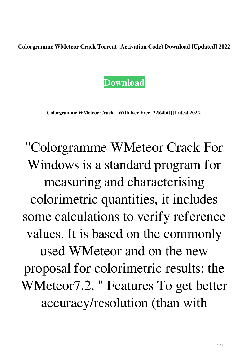**Colorgramme WMeteor Crack Torrent (Activation Code) Download [Updated] 2022**



**Colorgramme WMeteor Crack+ With Key Free [32|64bit] [Latest 2022]**

"Colorgramme WMeteor Crack For Windows is a standard program for measuring and characterising colorimetric quantities, it includes some calculations to verify reference values. It is based on the commonly used WMeteor and on the new proposal for colorimetric results: the WMeteor7.2. " Features To get better accuracy/resolution (than with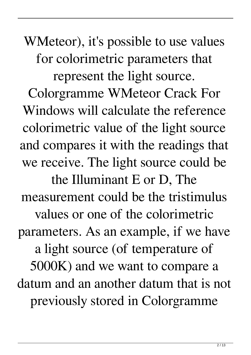WMeteor), it's possible to use values for colorimetric parameters that represent the light source. Colorgramme WMeteor Crack For Windows will calculate the reference colorimetric value of the light source and compares it with the readings that we receive. The light source could be the Illuminant E or D, The measurement could be the tristimulus values or one of the colorimetric parameters. As an example, if we have a light source (of temperature of 5000K) and we want to compare a datum and an another datum that is not previously stored in Colorgramme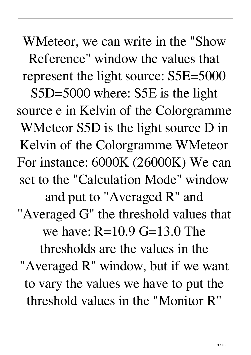WMeteor, we can write in the "Show Reference" window the values that represent the light source: S5E=5000 S5D=5000 where: S5E is the light source e in Kelvin of the Colorgramme WMeteor S5D is the light source D in Kelvin of the Colorgramme WMeteor For instance: 6000K (26000K) We can set to the "Calculation Mode" window and put to "Averaged R" and "Averaged G" the threshold values that we have: R=10.9 G=13.0 The thresholds are the values in the "Averaged R" window, but if we want to vary the values we have to put the threshold values in the "Monitor R"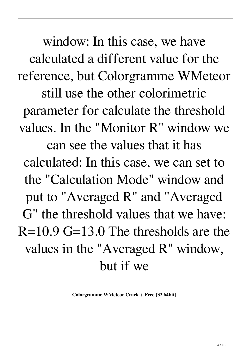window: In this case, we have calculated a different value for the reference, but Colorgramme WMeteor still use the other colorimetric parameter for calculate the threshold values. In the "Monitor R" window we can see the values that it has calculated: In this case, we can set to the "Calculation Mode" window and put to "Averaged R" and "Averaged G" the threshold values that we have:  $R=10.9$  G=13.0 The thresholds are the values in the "Averaged R" window, but if we

**Colorgramme WMeteor Crack + Free [32|64bit]**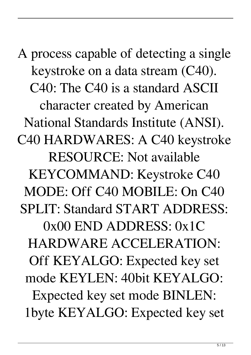A process capable of detecting a single keystroke on a data stream (C40). C40: The C40 is a standard ASCII character created by American National Standards Institute (ANSI). C40 HARDWARES: A C40 keystroke RESOURCE: Not available KEYCOMMAND: Keystroke C40 MODE: Off C40 MOBILE: On C40 SPLIT: Standard START ADDRESS: 0x00 END ADDRESS: 0x1C HARDWARE ACCELERATION: Off KEYALGO: Expected key set mode KEYLEN: 40bit KEYALGO: Expected key set mode BINLEN: 1byte KEYALGO: Expected key set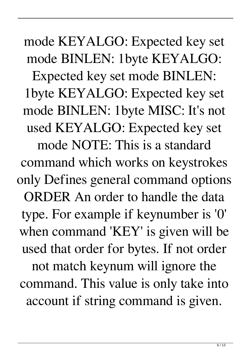mode KEYALGO: Expected key set mode BINLEN: 1byte KEYALGO: Expected key set mode BINLEN: 1byte KEYALGO: Expected key set mode BINLEN: 1byte MISC: It's not used KEYALGO: Expected key set mode NOTE: This is a standard command which works on keystrokes only Defines general command options ORDER An order to handle the data type. For example if keynumber is '0' when command 'KEY' is given will be used that order for bytes. If not order not match keynum will ignore the command. This value is only take into account if string command is given.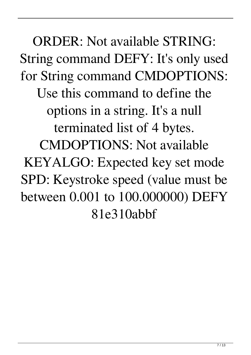ORDER: Not available STRING: String command DEFY: It's only used for String command CMDOPTIONS: Use this command to define the options in a string. It's a null terminated list of 4 bytes. CMDOPTIONS: Not available KEYALGO: Expected key set mode SPD: Keystroke speed (value must be between 0.001 to 100.000000) DEFY 81e310abbf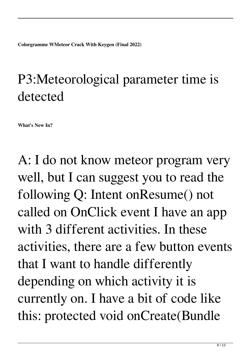**Colorgramme WMeteor Crack With Keygen (Final 2022)**

## P3:Meteorological parameter time is detected

**What's New In?**

A: I do not know meteor program very well, but I can suggest you to read the following Q: Intent onResume() not called on OnClick event I have an app with 3 different activities. In these activities, there are a few button events that I want to handle differently depending on which activity it is currently on. I have a bit of code like this: protected void onCreate(Bundle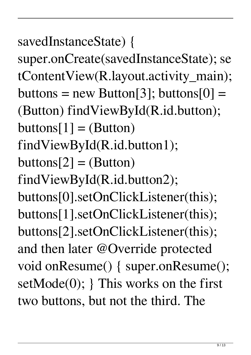$9 / 13$ 

savedInstanceState) { super.onCreate(savedInstanceState); se tContentView(R.layout.activity\_main);  $buttons = new Button[3]$ ; buttons[0] = (Button) findViewById(R.id.button);  $buttons[1] = (Button)$ findViewById(R.id.button1);  $buttons[2] = (Button)$ findViewById(R.id.button2); buttons[0].setOnClickListener(this); buttons[1].setOnClickListener(this); buttons[2].setOnClickListener(this); and then later @Override protected void onResume() { super.onResume(); setMode(0); } This works on the first two buttons, but not the third. The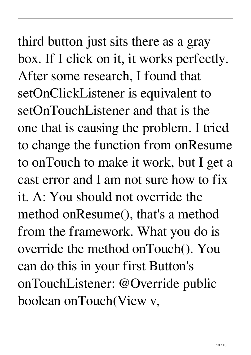third button just sits there as a gray box. If I click on it, it works perfectly. After some research, I found that setOnClickListener is equivalent to setOnTouchListener and that is the one that is causing the problem. I tried to change the function from onResume to onTouch to make it work, but I get a cast error and I am not sure how to fix it. A: You should not override the method onResume(), that's a method from the framework. What you do is override the method onTouch(). You can do this in your first Button's onTouchListener: @Override public boolean onTouch(View v,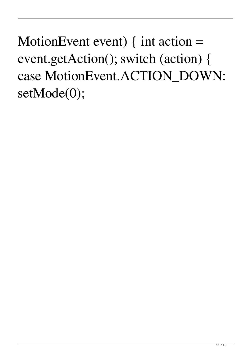MotionEvent event)  $\{$  int action  $=$ event.getAction(); switch (action) { case MotionEvent.ACTION\_DOWN: setMode(0);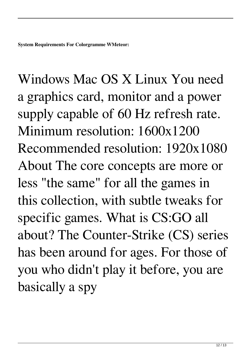Windows Mac OS X Linux You need a graphics card, monitor and a power supply capable of 60 Hz refresh rate. Minimum resolution: 1600x1200 Recommended resolution: 1920x1080 About The core concepts are more or less "the same" for all the games in this collection, with subtle tweaks for specific games. What is CS:GO all about? The Counter-Strike (CS) series has been around for ages. For those of you who didn't play it before, you are basically a spy